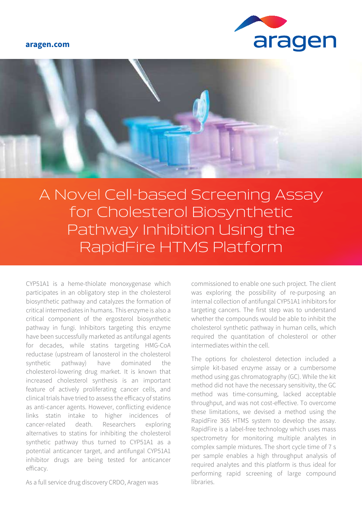#### **aragen.com**





A Novel Cell-based Screening Assay for Cholesterol Biosynthetic Pathway Inhibition Using the RapidFire HTMS Platform

CYP51A1 is a heme-thiolate monoxygenase which participates in an obligatory step in the cholesterol biosynthetic pathway and catalyzes the formation of critical intermediates in humans. This enzyme is also a critical component of the ergosterol biosynthetic pathway in fungi. Inhibitors targeting this enzyme have been successfully marketed as antifungal agents for decades, while statins targeting HMG-CoA reductase (upstream of lanosterol in the cholesterol synthetic pathway) have dominated the cholesterol-lowering drug market. It is known that increased cholesterol synthesis is an important feature of actively proliferating cancer cells, and clinical trials have tried to assess the efficacy of statins as anti-cancer agents. However, conflicting evidence links statin intake to higher incidences of cancer-related death. Researchers exploring alternatives to statins for inhibiting the cholesterol synthetic pathway thus turned to CYP51A1 as a potential anticancer target, and antifungal CYP51A1 inhibitor drugs are being tested for anticancer efficacy.

commissioned to enable one such project. The client was exploring the possibility of re-purposing an internal collection of antifungal CYP51A1 inhibitors for targeting cancers. The first step was to understand whether the compounds would be able to inhibit the cholesterol synthetic pathway in human cells, which required the quantitation of cholesterol or other intermediates within the cell.

The options for cholesterol detection included a simple kit-based enzyme assay or a cumbersome method using gas chromatography (GC). While the kit method did not have the necessary sensitivity, the GC method was time-consuming, lacked acceptable throughput, and was not cost-effective. To overcome these limitations, we devised a method using the RapidFire 365 HTMS system to develop the assay. RapidFire is a label-free technology which uses mass spectrometry for monitoring multiple analytes in complex sample mixtures. The short cycle time of 7 s per sample enables a high throughput analysis of required analytes and this platform is thus ideal for performing rapid screening of large compound libraries.

As a full service drug discovery CRDO, Aragen was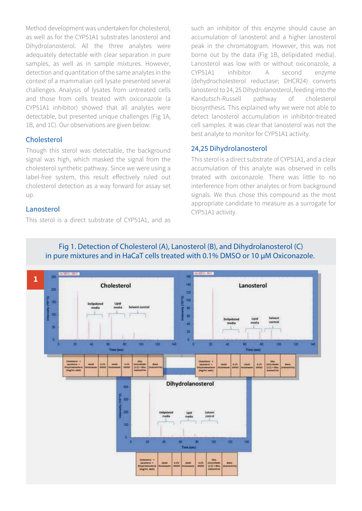Method development was undertaken for cholesterol, as well as for the CYP51A1 substrates lanosterol and Dihydrolanosterol. All the three analytes were adequately detectable with clear separation in pure samples, as well as in sample mixtures. However, detection and quantitation of the same analytes in the context of a mammalian cell lysate presented several challenges. Analysis of lysates from untreated cells and those from cells treated with oxiconazole (a CYP51A1 inhibitor) showed that all analytes were detectable, but presented unique challenges (Fig 1A, 1B, and 1C). Our observations are given below:

# **Cholesterol**

Though this sterol was detectable, the background signal was high, which masked the signal from the cholesterol synthetic pathway. Since we were using a label-free system, this result effectively ruled out cholesterol detection as a way forward for assay set up.

### Lanosterol

This sterol is a direct substrate of CYP51A1, and as

such an inhibitor of this enzyme should cause an accumulation of lanosterol and a higher lanosterol peak in the chromatogram. However, this was not borne out by the data (Fig 1B, delipidated media). Lanosterol was low with or without oxiconazole, a CYP51A1 inhibitor. A second enzyme (dehydrocholesterol reductase; DHCR24) converts lanosterol to 24, 25 Dihydrolanosterol, feeding into the Kandutsch-Russell pathway of cholesterol biosynthesis. This explained why we were not able to detect lanosterol accumulation in inhibitor-treated cell samples. It was clear that lanosterol was not the best analyte to monitor for CYP51A1 activity.

#### 24,25 Dihydrolanosterol

This sterol is a direct substrate of CYP51A1, and a clear accumulation of this analyte was observed in cells treated with oxiconazole. There was little to no interference from other analytes or from background signals. We thus chose this compound as the most appropriate candidate to measure as a surrogate for CYP51A1 activity.



# **Fig 1. Detection of Cholesterol (A), Lanosterol (B), and Dihydrolanosterol (C) in pure mixtures and in HaCaT cells treated with 0.1% DMSO or 10 µM Oxiconazole.**